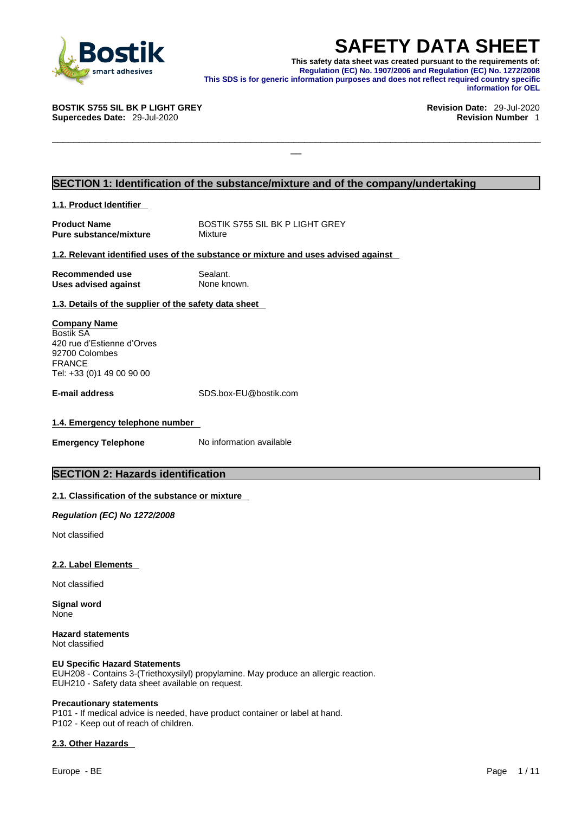

**SAFETY DATA SHEET**<br>This safety data sheet was created pursuant to the requirements of:<br>Regulation (EC) No. 1907/2006 and Regulation (EC) No. 1272/2008<br>information purposes and does not reflect required country specific<br>in **This safety data sheet was created pursuant to the requirements of: Regulation (EC) No. 1907/2006 and Regulation (EC) No. 1272/2008 This SDS is for generic information purposes and does not reflect required country specific information for OEL** 

\_\_\_\_\_\_\_\_\_\_\_\_\_\_\_\_\_\_\_\_\_\_\_\_\_\_\_\_\_\_\_\_\_\_\_\_\_\_\_\_\_\_\_\_\_\_\_\_\_\_\_\_\_\_\_\_\_\_\_\_\_\_\_\_\_\_\_\_\_\_\_\_\_\_\_\_\_\_\_\_\_\_\_\_\_\_\_\_\_\_\_

**BOSTIK S755 SIL BK P LIGHT GREY Revision Date:** 29-Jul-2020

**Supercedes Date:** 29-Jul-2020 **Revision Number** 1

## **SECTION 1: Identification of the substance/mixture and of the company/undertaking**

**1.1. Product Identifier** 

| <b>Product Name</b>           |  |
|-------------------------------|--|
| <b>Pure substance/mixture</b> |  |

**BOSTIK S755 SIL BK P LIGHT GREY Mixture** 

#### **1.2. Relevant identified uses of the substance or mixture and uses advised against**

| Recommended use             |  |
|-----------------------------|--|
| <b>Uses advised against</b> |  |

**Sealant. None known.** 

**1.3. Details of the supplier of the safety data sheet**

**Company Name** Bostik SA 420 rue d'Estienne d'Orves 92700 Colombes FRANCE Tel: +33 (0)1 49 00 90 00

**E-mail address** SDS.box-EU@bostik.com

#### **1.4. Emergency telephone number**

**Emergency Telephone** No information available

## **SECTION 2: Hazards identification**

### **2.1. Classification of the substance or mixture**

*Regulation (EC) No 1272/2008* 

Not classified

### **2.2. Label Elements**

Not classified

**Signal word** None

**Hazard statements** Not classified

#### **EU Specific Hazard Statements**

EUH208 - Contains 3-(Triethoxysilyl) propylamine. May produce an allergic reaction.<br>EUH210 - Safety data sheet available on request.

#### **Precautionary statements**

P101 - If medical advice is needed, have product container or label at hand. P102 - Keep out of reach of children.

#### **2.3. Other Hazards**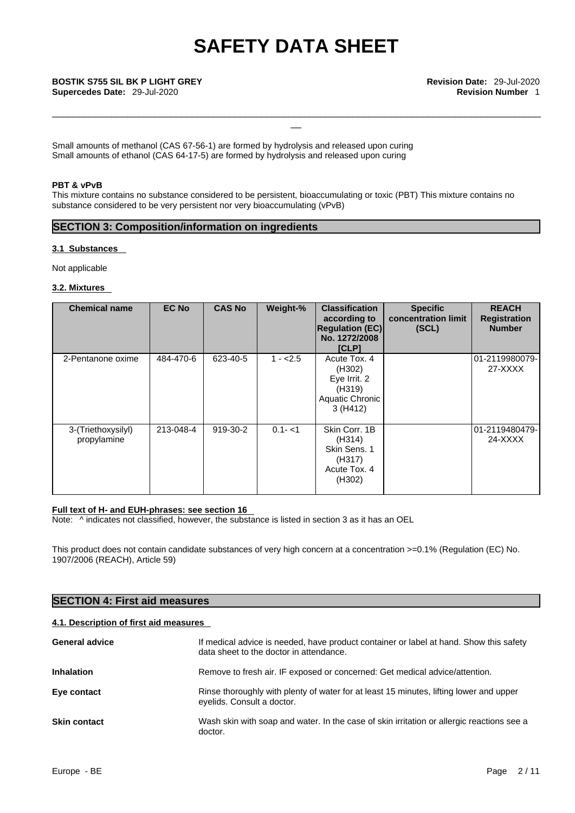\_\_\_\_\_\_\_\_\_\_\_\_\_\_\_\_\_\_\_\_\_\_\_\_\_\_\_\_\_\_\_\_\_\_\_\_\_\_\_\_\_\_\_\_\_\_\_\_\_\_\_\_\_\_\_\_\_\_\_\_\_\_\_\_\_\_\_\_\_\_\_\_\_\_\_\_\_\_\_\_\_\_\_\_\_\_\_\_\_\_\_

Small amounts of methanol (CAS 67-56-1) are formed by hydrolysis and released upon curing Small amounts of ethanol (CAS 64-17-5) are formed by hydrolysis and released upon curing

### **PBT & vPvB**

This mixture contains no substance considered to be persistent, bioaccumulating or toxic (PBT) This mixture contains no substance considered to be very persistent nor very bioaccumulating (vPvB)

# **SECTION 3: Composition/information on ingredients**

#### **3.1 Substances**

Not applicable

### **3.2. Mixtures**

| <b>Chemical name</b>              | <b>EC No</b> | <b>CAS No</b> | Weight-%  | <b>Classification</b><br>according to<br><b>Regulation (EC)</b><br>No. 1272/2008<br><b>[CLP]</b> | <b>Specific</b><br>concentration limit<br>(SCL) | <b>REACH</b><br><b>Registration</b><br><b>Number</b> |
|-----------------------------------|--------------|---------------|-----------|--------------------------------------------------------------------------------------------------|-------------------------------------------------|------------------------------------------------------|
| 2-Pentanone oxime                 | 484-470-6    | 623-40-5      | $1 - 2.5$ | Acute Tox. 4<br>(H302)<br>Eye Irrit. 2<br>(H319)<br>Aquatic Chronic<br>3(H412)                   |                                                 | 01-2119980079-<br>27-XXXX                            |
| 3-(Triethoxysilyl)<br>propylamine | 213-048-4    | 919-30-2      | $0.1 - 1$ | Skin Corr. 1B<br>(H314)<br>Skin Sens, 1<br>(H317)<br>Acute Tox. 4<br>(H302)                      |                                                 | 01-2119480479-<br>24-XXXX                            |

### **Full text of H- and EUH-phrases: see section 16**

Note:  $\wedge$  indicates not classified, however, the substance is listed in section 3 as it has an OEL

This product does not contain candidate substances of very high concern at a concentration >=0.1% (Regulation (EC) No. 1907/2006 (REACH), Article 59)

# **SECTION 4: First aid measures**

#### **4.1. Description of first aid measures**

| <b>General advice</b> | If medical advice is needed, have product container or label at hand. Show this safety<br>data sheet to the doctor in attendance. |
|-----------------------|-----------------------------------------------------------------------------------------------------------------------------------|
| <b>Inhalation</b>     | Remove to fresh air. IF exposed or concerned: Get medical advice/attention.                                                       |
| Eye contact           | Rinse thoroughly with plenty of water for at least 15 minutes, lifting lower and upper<br>eyelids. Consult a doctor.              |
| <b>Skin contact</b>   | Wash skin with soap and water. In the case of skin irritation or allergic reactions see a<br>doctor.                              |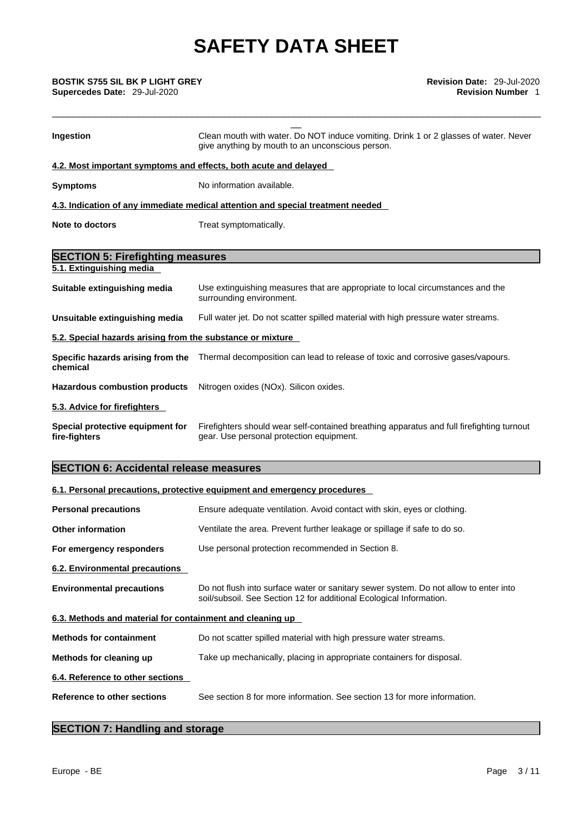\_\_\_\_\_\_\_\_\_\_\_\_\_\_\_\_\_\_\_\_\_\_\_\_\_\_\_\_\_\_\_\_\_\_\_\_\_\_\_\_\_\_\_\_\_\_\_\_\_\_\_\_\_\_\_\_\_\_\_\_\_\_\_\_\_\_\_\_\_\_\_\_\_\_\_\_\_\_\_\_\_\_\_\_\_\_\_\_\_\_\_

**Supercedes Date:** 29-Jul-2020 **Revision Number** 1

| <b>BOSTIK S755 SIL BK P LIGHT GREY</b><br>Supercedes Date: 29-Jul-2020 | Revision Date: 29-Jul-2020<br><b>Revision Number 1</b>                                                                                                      |
|------------------------------------------------------------------------|-------------------------------------------------------------------------------------------------------------------------------------------------------------|
| Ingestion                                                              | Clean mouth with water. Do NOT induce vomiting. Drink 1 or 2 glasses of water. Never<br>give anything by mouth to an unconscious person.                    |
|                                                                        | 4.2. Most important symptoms and effects, both acute and delayed                                                                                            |
| <b>Symptoms</b>                                                        | No information available.                                                                                                                                   |
|                                                                        | 4.3. Indication of any immediate medical attention and special treatment needed                                                                             |
| <b>Note to doctors</b>                                                 | Treat symptomatically.                                                                                                                                      |
| <b>SECTION 5: Firefighting measures</b>                                |                                                                                                                                                             |
| 5.1. Extinguishing media                                               |                                                                                                                                                             |
| Suitable extinguishing media                                           | Use extinguishing measures that are appropriate to local circumstances and the<br>surrounding environment.                                                  |
| Unsuitable extinguishing media                                         | Full water jet. Do not scatter spilled material with high pressure water streams.                                                                           |
| 5.2. Special hazards arising from the substance or mixture             |                                                                                                                                                             |
| chemical                                                               | Specific hazards arising from the Thermal decomposition can lead to release of toxic and corrosive gases/vapours.                                           |
| <b>Hazardous combustion products</b>                                   | Nitrogen oxides (NOx). Silicon oxides.                                                                                                                      |
| 5.3. Advice for firefighters                                           |                                                                                                                                                             |
| Special protective equipment for<br>fire-fighters                      | Firefighters should wear self-contained breathing apparatus and full firefighting turnout<br>gear. Use personal protection equipment.                       |
| <b>SECTION 6: Accidental release measures</b>                          |                                                                                                                                                             |
|                                                                        | 6.1. Personal precautions, protective equipment and emergency procedures                                                                                    |
| <b>Personal precautions</b>                                            | Ensure adequate ventilation. Avoid contact with skin, eyes or clothing.                                                                                     |
| Other information                                                      | Ventilate the area. Prevent further leakage or spillage if safe to do so.                                                                                   |
| For emergency responders                                               | Use personal protection recommended in Section 8.                                                                                                           |
| 6.2. Environmental precautions                                         |                                                                                                                                                             |
| <b>Environmental precautions</b>                                       | Do not flush into surface water or sanitary sewer system. Do not allow to enter into<br>soil/subsoil. See Section 12 for additional Ecological Information. |

**6.3. Methods and material for containment and cleaning up**

| <b>Methods for containment</b>   | Do not scatter spilled material with high pressure water streams.        |
|----------------------------------|--------------------------------------------------------------------------|
| Methods for cleaning up          | Take up mechanically, placing in appropriate containers for disposal.    |
| 6.4. Reference to other sections |                                                                          |
| Reference to other sections      | See section 8 for more information. See section 13 for more information. |

# **SECTION 7: Handling and storage**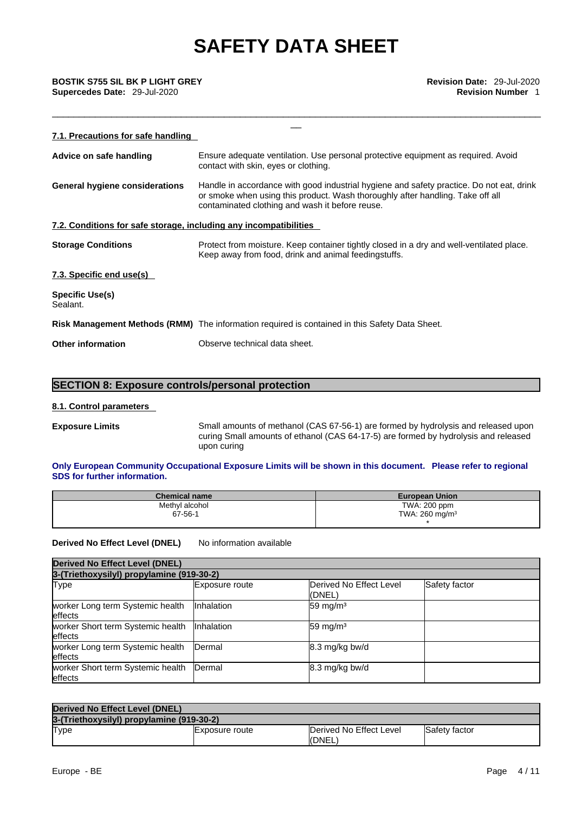\_\_\_\_\_\_\_\_\_\_\_\_\_\_\_\_\_\_\_\_\_\_\_\_\_\_\_\_\_\_\_\_\_\_\_\_\_\_\_\_\_\_\_\_\_\_\_\_\_\_\_\_\_\_\_\_\_\_\_\_\_\_\_\_\_\_\_\_\_\_\_\_\_\_\_\_\_\_\_\_\_\_\_\_\_\_\_\_\_\_\_

\_\_ **BOSTIK S755 SIL BK <sup>P</sup> LIGHT GREY Revision Date:** 29-Jul-2020 **Supercedes Date:** 29-Jul-2020 **Revision Number** 1

| 7.1. Precautions for safe handling                                |                                                                                                                                                                                                                               |
|-------------------------------------------------------------------|-------------------------------------------------------------------------------------------------------------------------------------------------------------------------------------------------------------------------------|
| Advice on safe handling                                           | Ensure adequate ventilation. Use personal protective equipment as required. Avoid<br>contact with skin, eyes or clothing.                                                                                                     |
| <b>General hygiene considerations</b>                             | Handle in accordance with good industrial hygiene and safety practice. Do not eat, drink<br>or smoke when using this product. Wash thoroughly after handling. Take off all<br>contaminated clothing and wash it before reuse. |
| 7.2. Conditions for safe storage, including any incompatibilities |                                                                                                                                                                                                                               |
| <b>Storage Conditions</b>                                         | Protect from moisture. Keep container tightly closed in a dry and well-ventilated place.<br>Keep away from food, drink and animal feedingstuffs.                                                                              |
| 7.3. Specific end use(s)                                          |                                                                                                                                                                                                                               |
| <b>Specific Use(s)</b><br>Sealant.                                |                                                                                                                                                                                                                               |
|                                                                   | Risk Management Methods (RMM) The information required is contained in this Safety Data Sheet.                                                                                                                                |
| <b>Other information</b>                                          | Observe technical data sheet.                                                                                                                                                                                                 |
|                                                                   |                                                                                                                                                                                                                               |

# **SECTION 8: Exposure controls/personal protection**

#### **8.1. Control parameters**

**Exposure Limits** Small amounts of methanol (CAS 67-56-1) are formed by hydrolysis and released upon curing Small amounts of ethanol (CAS 64-17-5) are formed by hydrolysis and released upon curing

#### **Only European Community Occupational Exposure Limits will be shown in this document. Please refer to regional SDS for further information.**

| <b>Chemical name</b> | <b>European Union</b>      |
|----------------------|----------------------------|
| Methyl alcohol       | TWA: 200 ppm               |
| 67-56-1              | TWA: 260 mg/m <sup>3</sup> |
|                      |                            |

**Derived No Effect Level (DNEL)** No information available

| <b>Derived No Effect Level (DNEL)</b>        |                   |                                   |               |  |
|----------------------------------------------|-------------------|-----------------------------------|---------------|--|
| 3-(Triethoxysilyl) propylamine (919-30-2)    |                   |                                   |               |  |
| <b>Type</b>                                  | Exposure route    | Derived No Effect Level<br>(DNEL) | Safety factor |  |
| worker Long term Systemic health<br>effects  | Inhalation        | 59 mg/m $3$                       |               |  |
| worker Short term Systemic health<br>effects | <b>Inhalation</b> | 59 mg/m <sup>3</sup>              |               |  |
| worker Long term Systemic health<br>effects  | <b>Dermal</b>     | 8.3 mg/kg bw/d                    |               |  |
| worker Short term Systemic health<br>effects | <b>IDermal</b>    | 8.3 mg/kg bw/d                    |               |  |

| Derived No Effect Level (DNEL)            |                |                         |                       |
|-------------------------------------------|----------------|-------------------------|-----------------------|
| 3-(Triethoxysilyl) propylamine (919-30-2) |                |                         |                       |
| Type                                      | Exposure route | Derived No Effect Level | <b>ISafety factor</b> |
|                                           |                | (DNEL.                  |                       |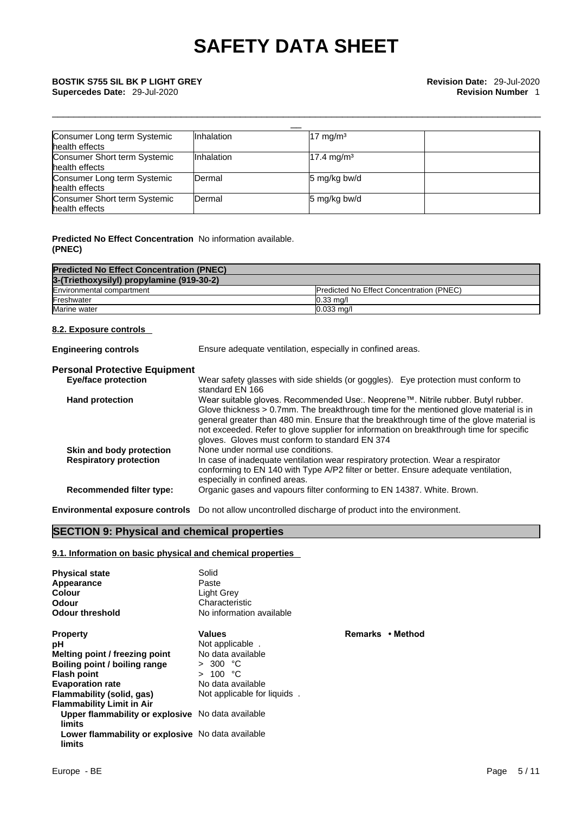| Consumer Long term Systemic<br>health effects  | <b>Inhalation</b> | $17 \text{ mg/m}^3$   |  |
|------------------------------------------------|-------------------|-----------------------|--|
| Consumer Short term Systemic<br>health effects | Inhalation        | $17.4 \text{ mg/m}^3$ |  |
| Consumer Long term Systemic<br>health effects  | Dermal            | 5 mg/kg bw/d          |  |
| Consumer Short term Systemic<br>health effects | Dermal            | 5 mg/kg bw/d          |  |

\_\_\_\_\_\_\_\_\_\_\_\_\_\_\_\_\_\_\_\_\_\_\_\_\_\_\_\_\_\_\_\_\_\_\_\_\_\_\_\_\_\_\_\_\_\_\_\_\_\_\_\_\_\_\_\_\_\_\_\_\_\_\_\_\_\_\_\_\_\_\_\_\_\_\_\_\_\_\_\_\_\_\_\_\_\_\_\_\_\_\_

### **Predicted No Effect Concentration** No information available. **(PNEC)**

| <b>Predicted No Effect Concentration (PNEC)</b> |                                                  |
|-------------------------------------------------|--------------------------------------------------|
| 3-(Triethoxysilyl) propylamine (919-30-2)       |                                                  |
| Environmental compartment                       | <b>IPredicted No Effect Concentration (PNEC)</b> |
| Freshwater                                      | $0.33$ ma/                                       |
| Marine water                                    | $0.033$ mg/l                                     |

#### **8.2. Exposure controls**

**Engineering controls** Ensure adequate ventilation, especially in confined areas.

#### **Personal Protective Equipment**

| <b>Eye/face protection</b>      | Wear safety glasses with side shields (or goggles). Eye protection must conform to<br>standard EN 166                                                                                                                                                                                                                                                                                                              |
|---------------------------------|--------------------------------------------------------------------------------------------------------------------------------------------------------------------------------------------------------------------------------------------------------------------------------------------------------------------------------------------------------------------------------------------------------------------|
| <b>Hand protection</b>          | Wear suitable gloves. Recommended Use:. Neoprene™. Nitrile rubber. Butyl rubber.<br>Glove thickness > 0.7mm. The breakthrough time for the mentioned glove material is in<br>general greater than 480 min. Ensure that the breakthrough time of the glove material is<br>not exceeded. Refer to glove supplier for information on breakthrough time for specific<br>gloves. Gloves must conform to standard EN 374 |
| Skin and body protection        | None under normal use conditions.                                                                                                                                                                                                                                                                                                                                                                                  |
| <b>Respiratory protection</b>   | In case of inadequate ventilation wear respiratory protection. Wear a respirator                                                                                                                                                                                                                                                                                                                                   |
|                                 | conforming to EN 140 with Type A/P2 filter or better. Ensure adequate ventilation,<br>especially in confined areas.                                                                                                                                                                                                                                                                                                |
| <b>Recommended filter type:</b> | Organic gases and vapours filter conforming to EN 14387. White. Brown.                                                                                                                                                                                                                                                                                                                                             |
|                                 |                                                                                                                                                                                                                                                                                                                                                                                                                    |

**Environmental exposure controls** Do not allow uncontrolled discharge of product into the environment.

## **SECTION 9: Physical and chemical properties**

## **9.1. Information on basic physical and chemical properties**

| <b>Physical state</b><br>Appearance<br>Colour<br>Odour<br><b>Odour threshold</b>                                                                                                                                                                                                                                                         | Solid<br>Paste<br>Light Grey<br>Characteristic<br>No information available                                                                |                  |
|------------------------------------------------------------------------------------------------------------------------------------------------------------------------------------------------------------------------------------------------------------------------------------------------------------------------------------------|-------------------------------------------------------------------------------------------------------------------------------------------|------------------|
| <b>Property</b><br>рH<br>Melting point / freezing point<br>Boiling point / boiling range<br><b>Flash point</b><br><b>Evaporation rate</b><br>Flammability (solid, gas)<br><b>Flammability Limit in Air</b><br>Upper flammability or explosive No data available<br>limits<br>Lower flammability or explosive No data available<br>limits | <b>Values</b><br>Not applicable.<br>No data available<br>> 300 °C<br>100 °C<br>$\geq$<br>No data available<br>Not applicable for liquids. | Remarks • Method |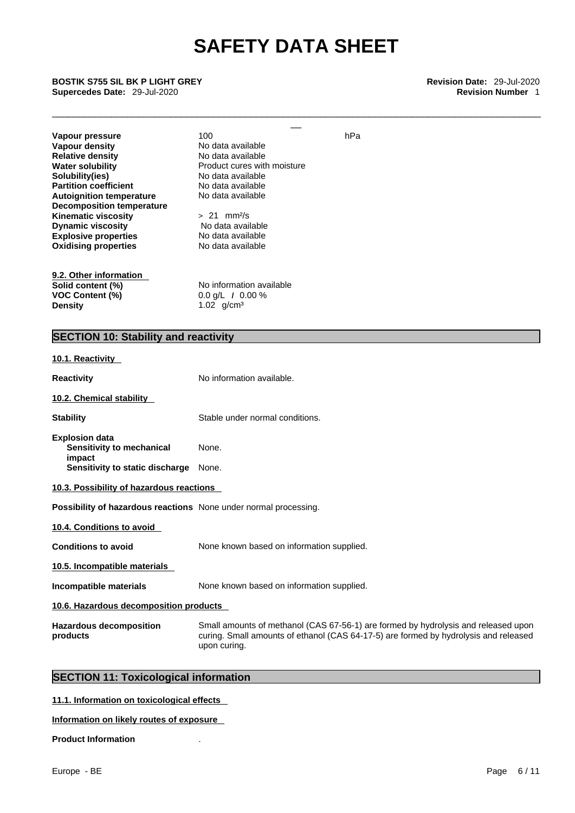**Supercedes Date:** 29-Jul-2020 **Revision Number** 1

| BOSTIK S755 SIL BK P LIGHT GREY<br>Supercedes Date: 29-Jul-2020                                                                                                                                                                                                                                                                           |                                                                                                                                                                                                                                         |     | Revision Date: 29-Jul-2020<br><b>Revision Number</b> 1 |  |
|-------------------------------------------------------------------------------------------------------------------------------------------------------------------------------------------------------------------------------------------------------------------------------------------------------------------------------------------|-----------------------------------------------------------------------------------------------------------------------------------------------------------------------------------------------------------------------------------------|-----|--------------------------------------------------------|--|
| Vapour pressure<br>Vapour density<br><b>Relative density</b><br><b>Water solubility</b><br>Solubility(ies)<br><b>Partition coefficient</b><br><b>Autoignition temperature</b><br><b>Decomposition temperature</b><br><b>Kinematic viscosity</b><br><b>Dynamic viscosity</b><br><b>Explosive properties</b><br><b>Oxidising properties</b> | 100<br>No data available<br>No data available<br>Product cures with moisture<br>No data available<br>No data available<br>No data available<br>$> 21$ mm <sup>2</sup> /s<br>No data available<br>No data available<br>No data available | hPa |                                                        |  |
| 9.2. Other information<br>Solid content (%)<br><b>VOC Content (%)</b><br><b>Density</b>                                                                                                                                                                                                                                                   | No information available<br>$0.0$ g/L $/$ 0.00 %<br>1.02 $g/cm^{3}$                                                                                                                                                                     |     |                                                        |  |
| <b>SECTION 10: Stability and reactivity</b>                                                                                                                                                                                                                                                                                               |                                                                                                                                                                                                                                         |     |                                                        |  |
| 10.1. Reactivity                                                                                                                                                                                                                                                                                                                          |                                                                                                                                                                                                                                         |     |                                                        |  |
| Reactivity                                                                                                                                                                                                                                                                                                                                | No information available.                                                                                                                                                                                                               |     |                                                        |  |
| 10.2. Chemical stability                                                                                                                                                                                                                                                                                                                  |                                                                                                                                                                                                                                         |     |                                                        |  |
| <b>Stability</b>                                                                                                                                                                                                                                                                                                                          | Stable under normal conditions.                                                                                                                                                                                                         |     |                                                        |  |
| <b>Explosion data</b><br>Sensitivity to mechanical<br>impact<br>Sensitivity to static discharge                                                                                                                                                                                                                                           | None.<br>None.                                                                                                                                                                                                                          |     |                                                        |  |
| 10.3. Possibility of hazardous reactions                                                                                                                                                                                                                                                                                                  |                                                                                                                                                                                                                                         |     |                                                        |  |
| <b>Possibility of hazardous reactions</b> None under normal processing.                                                                                                                                                                                                                                                                   |                                                                                                                                                                                                                                         |     |                                                        |  |
| 10.4. Conditions to avoid                                                                                                                                                                                                                                                                                                                 |                                                                                                                                                                                                                                         |     |                                                        |  |
| <b>Conditions to avoid</b>                                                                                                                                                                                                                                                                                                                | None known based on information supplied.                                                                                                                                                                                               |     |                                                        |  |
| 10.5. Incompatible materials                                                                                                                                                                                                                                                                                                              |                                                                                                                                                                                                                                         |     |                                                        |  |
| <b>Incompatible materials</b>                                                                                                                                                                                                                                                                                                             | None known based on information supplied.                                                                                                                                                                                               |     |                                                        |  |
| 10.6. Hazardous decomposition products                                                                                                                                                                                                                                                                                                    |                                                                                                                                                                                                                                         |     |                                                        |  |
| <b>Hazardous decomposition</b><br>products                                                                                                                                                                                                                                                                                                | Small amounts of methanol (CAS 67-56-1) are formed by hydrolysis and released upon<br>curing. Small amounts of ethanol (CAS 64-17-5) are formed by hydrolysis and released<br>upon curing.                                              |     |                                                        |  |

# **SECTION 11: Toxicological information**

## **11.1. Information on toxicological effects**

#### **Information on likely routes of exposure**

#### **Product Information** .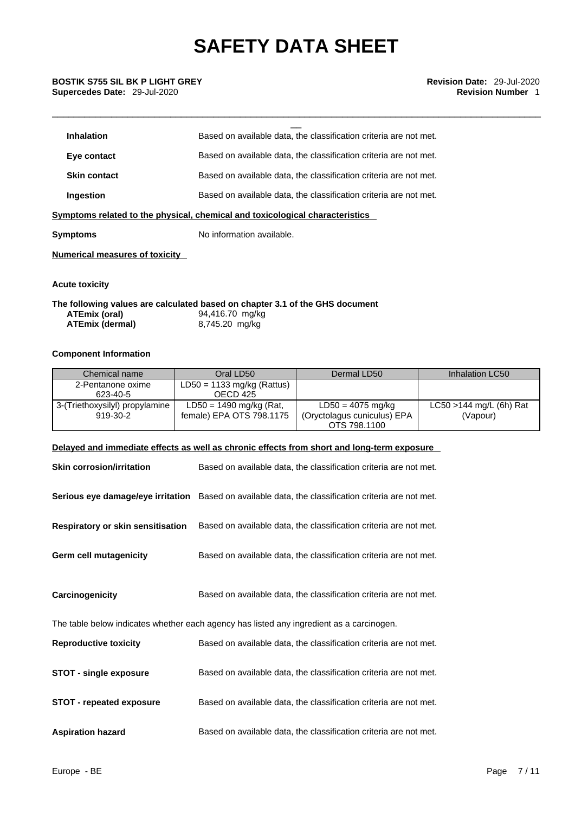\_\_\_\_\_\_\_\_\_\_\_\_\_\_\_\_\_\_\_\_\_\_\_\_\_\_\_\_\_\_\_\_\_\_\_\_\_\_\_\_\_\_\_\_\_\_\_\_\_\_\_\_\_\_\_\_\_\_\_\_\_\_\_\_\_\_\_\_\_\_\_\_\_\_\_\_\_\_\_\_\_\_\_\_\_\_\_\_\_\_\_

| <b>Inhalation</b>                                                            | Based on available data, the classification criteria are not met. |  |  |  |
|------------------------------------------------------------------------------|-------------------------------------------------------------------|--|--|--|
| Eye contact                                                                  | Based on available data, the classification criteria are not met. |  |  |  |
| <b>Skin contact</b>                                                          | Based on available data, the classification criteria are not met. |  |  |  |
| Ingestion                                                                    | Based on available data, the classification criteria are not met. |  |  |  |
| Symptoms related to the physical, chemical and toxicological characteristics |                                                                   |  |  |  |
| Symptoms                                                                     | No information available.                                         |  |  |  |

**Numerical measures of toxicity**

**Acute toxicity** 

**The following values are calculated based on chapter 3.1 of the GHS document ATEmix (oral)** 94,416.70 mg/kg **ATEmix** (dermal)

### **Component Information**

| Chemical name                  | Oral LD50                    | Dermal LD50                 | Inhalation LC50            |
|--------------------------------|------------------------------|-----------------------------|----------------------------|
| 2-Pentanone oxime              | $LD50 = 1133$ mg/kg (Rattus) |                             |                            |
| 623-40-5                       | OECD 425                     |                             |                            |
| 3-(Triethoxysilyl) propylamine | $LD50 = 1490$ mg/kg (Rat,    | $LD50 = 4075$ mg/kg         | $LC50 > 144$ mg/L (6h) Rat |
| 919-30-2                       | female) EPA OTS 798.1175     | (Oryctolagus cuniculus) EPA | (Vapour)                   |
|                                |                              | OTS 798,1100                |                            |

#### **Delayed and immediate effects as well as chronic effects from short and long-term exposure**

| <b>Skin corrosion/irritation</b>         | Based on available data, the classification criteria are not met.                                   |
|------------------------------------------|-----------------------------------------------------------------------------------------------------|
|                                          | Serious eye damage/eye irritation Based on available data, the classification criteria are not met. |
| <b>Respiratory or skin sensitisation</b> | Based on available data, the classification criteria are not met.                                   |
| Germ cell mutagenicity                   | Based on available data, the classification criteria are not met.                                   |
| Carcinogenicity                          | Based on available data, the classification criteria are not met.                                   |
|                                          | The table below indicates whether each agency has listed any ingredient as a carcinogen.            |
| <b>Reproductive toxicity</b>             | Based on available data, the classification criteria are not met.                                   |
| <b>STOT - single exposure</b>            | Based on available data, the classification criteria are not met.                                   |
| <b>STOT - repeated exposure</b>          | Based on available data, the classification criteria are not met.                                   |
| <b>Aspiration hazard</b>                 | Based on available data, the classification criteria are not met.                                   |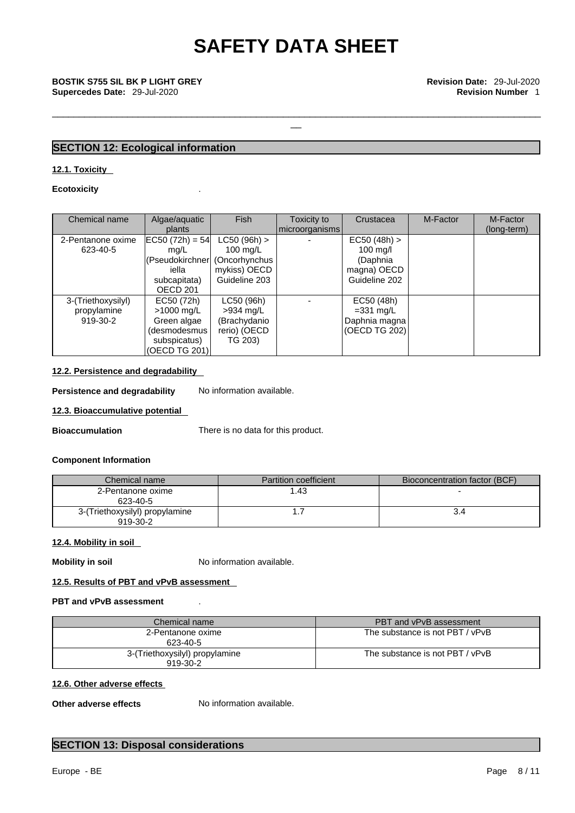\_\_\_\_\_\_\_\_\_\_\_\_\_\_\_\_\_\_\_\_\_\_\_\_\_\_\_\_\_\_\_\_\_\_\_\_\_\_\_\_\_\_\_\_\_\_\_\_\_\_\_\_\_\_\_\_\_\_\_\_\_\_\_\_\_\_\_\_\_\_\_\_\_\_\_\_\_\_\_\_\_\_\_\_\_\_\_\_\_\_\_

# **SECTION 12: Ecological information**

#### **12.1. Toxicity**

#### **Ecotoxicity** .

| Chemical name      | Algae/aquatic                 | <b>Fish</b>    | Toxicity to    | Crustacea           | M-Factor | M-Factor    |
|--------------------|-------------------------------|----------------|----------------|---------------------|----------|-------------|
|                    | plants                        |                | microorganisms |                     |          | (long-term) |
| 2-Pentanone oxime  | $ EC50 (72h) = 54 $           | $LC50 (96h)$ > |                | EC50 (48h) >        |          |             |
| 623-40-5           | mg/L                          | 100 $mq/L$     |                | $100 \text{ m}$ a/l |          |             |
|                    | (Pseudokirchner (Oncorhynchus |                |                | (Daphnia            |          |             |
|                    | iella                         | mykiss) OECD   |                | magna) OECD         |          |             |
|                    | subcapitata)                  | Guideline 203  |                | Guideline 202       |          |             |
|                    | OECD <sub>201</sub>           |                |                |                     |          |             |
| 3-(Triethoxysilyl) | EC50 (72h)                    | LC50 (96h)     |                | EC50 (48h)          |          |             |
| propylamine        | $>1000$ mg/L                  | >934 mg/L      |                | $=331$ mg/L         |          |             |
| 919-30-2           | Green algae                   | (Brachydanio   |                | Daphnia magna       |          |             |
|                    | (desmodesmus                  | rerio) (OECD   |                | (OECD TG 202)       |          |             |
|                    | subspicatus)                  | TG 203)        |                |                     |          |             |
|                    | (OECD TG 201)                 |                |                |                     |          |             |

#### **12.2. Persistence and degradability**

**Persistence and degradability** No information available.

#### **12.3. Bioaccumulative potential**

**Bioaccumulation** There is no data for this product.

#### **Component Information**

| Chemical name                              | Partition coefficient | Bioconcentration factor (BCF) |  |
|--------------------------------------------|-----------------------|-------------------------------|--|
| 2-Pentanone oxime<br>623-40-5              | .43                   |                               |  |
| 3-(Triethoxysilyl) propylamine<br>919-30-2 |                       |                               |  |

#### **12.4. Mobility in soil**

**Mobility in soil** No information available.

#### **12.5. Results of PBT and vPvB assessment**

#### **PBT and vPvB assessment** .

| Chemical name                              | PBT and vPvB assessment         |
|--------------------------------------------|---------------------------------|
| 2-Pentanone oxime<br>623-40-5              | The substance is not PBT / vPvB |
| 3-(Triethoxysilyl) propylamine<br>919-30-2 | The substance is not PBT / vPvB |

### **12.6. Other adverse effects**

**Other adverse effects** No information available.

# **SECTION 13: Disposal considerations**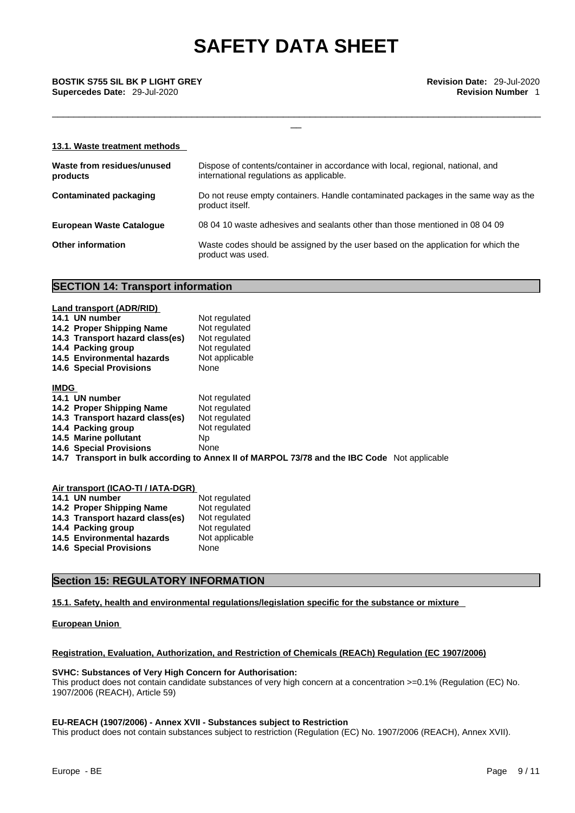\_\_\_\_\_\_\_\_\_\_\_\_\_\_\_\_\_\_\_\_\_\_\_\_\_\_\_\_\_\_\_\_\_\_\_\_\_\_\_\_\_\_\_\_\_\_\_\_\_\_\_\_\_\_\_\_\_\_\_\_\_\_\_\_\_\_\_\_\_\_\_\_\_\_\_\_\_\_\_\_\_\_\_\_\_\_\_\_\_\_\_

\_\_ **BOSTIK S755 SIL BK <sup>P</sup> LIGHT GREY Revision Date:** 29-Jul-2020 **Supercedes Date:** 29-Jul-2020 **Revision Number** 1

#### **13.1. Waste treatment methods**

| Waste from residues/unused<br>products | Dispose of contents/container in accordance with local, regional, national, and<br>international regulations as applicable. |
|----------------------------------------|-----------------------------------------------------------------------------------------------------------------------------|
| Contaminated packaging                 | Do not reuse empty containers. Handle contaminated packages in the same way as the<br>product itself.                       |
| <b>European Waste Catalogue</b>        | 08 04 10 waste adhesives and sealants other than those mentioned in 08 04 09                                                |
| <b>Other information</b>               | Waste codes should be assigned by the user based on the application for which the<br>product was used.                      |

## **SECTION 14: Transport information**

|             | Land transport (ADR/RID)        |                                                                                              |
|-------------|---------------------------------|----------------------------------------------------------------------------------------------|
|             | 14.1 UN number                  | Not regulated                                                                                |
|             | 14.2 Proper Shipping Name       | Not regulated                                                                                |
|             | 14.3 Transport hazard class(es) | Not regulated                                                                                |
|             | 14.4 Packing group              | Not regulated                                                                                |
|             | 14.5 Environmental hazards      | Not applicable                                                                               |
|             | <b>14.6 Special Provisions</b>  | None                                                                                         |
| <b>IMDG</b> |                                 |                                                                                              |
|             | 14.1 UN number                  | Not regulated                                                                                |
|             | 14.2 Proper Shipping Name       | Not regulated                                                                                |
|             | 14.3 Transport hazard class(es) | Not regulated                                                                                |
|             | 14.4 Packing group              | Not regulated                                                                                |
|             | 14.5 Marine pollutant           | Np.                                                                                          |
|             | <b>14.6 Special Provisions</b>  | None                                                                                         |
|             |                                 | 14.7 Transport in bulk according to Annex II of MARPOL 73/78 and the IBC Code Not applicable |
|             |                                 |                                                                                              |

| Air transport (ICAO-TI / IATA-DGR) |                                 |                |  |
|------------------------------------|---------------------------------|----------------|--|
|                                    | 14.1 UN number                  | Not regulated  |  |
|                                    | 14.2 Proper Shipping Name       | Not regulated  |  |
|                                    | 14.3 Transport hazard class(es) | Not regulated  |  |
|                                    | 14.4 Packing group              | Not regulated  |  |
|                                    | 14.5 Environmental hazards      | Not applicable |  |
|                                    | <b>14.6 Special Provisions</b>  | None           |  |

# **Section 15: REGULATORY INFORMATION**

#### **15.1. Safety, health and environmental regulations/legislation specific for the substance or mixture**

#### **European Union**

#### **Registration, Evaluation, Authorization, and Restriction of Chemicals (REACh) Regulation (EC 1907/2006)**

#### **SVHC: Substances of Very High Concern for Authorisation:**

This product does not contain candidate substances of very high concern at a concentration >=0.1% (Regulation (EC) No. 1907/2006 (REACH), Article 59)

#### **EU-REACH (1907/2006) - Annex XVII - Substances subject to Restriction**

This product does not contain substances subject to restriction (Regulation (EC) No. 1907/2006 (REACH), Annex XVII).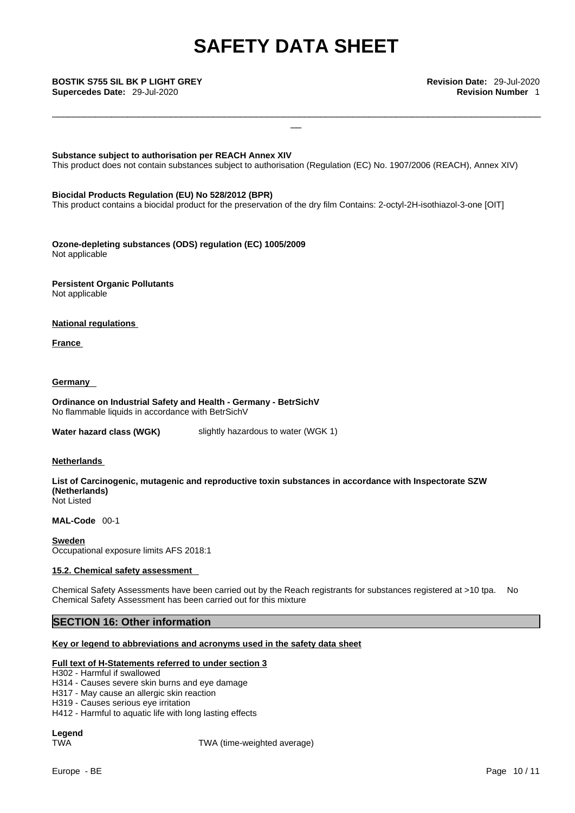\_\_\_\_\_\_\_\_\_\_\_\_\_\_\_\_\_\_\_\_\_\_\_\_\_\_\_\_\_\_\_\_\_\_\_\_\_\_\_\_\_\_\_\_\_\_\_\_\_\_\_\_\_\_\_\_\_\_\_\_\_\_\_\_\_\_\_\_\_\_\_\_\_\_\_\_\_\_\_\_\_\_\_\_\_\_\_\_\_\_\_

\_\_ **BOSTIK S755 SIL BK <sup>P</sup> LIGHT GREY Revision Date:** 29-Jul-2020 **Supercedes Date:** 29-Jul-2020 **Revision Number** 1

**Substance subject to authorisation per REACH Annex XIV**

This product does not contain substances subject to authorisation (Regulation (EC) No. 1907/2006 (REACH), Annex XIV)

#### **Biocidal Products Regulation (EU) No 528/2012 (BPR)**

This product contains a biocidal product for the preservation of the dry film Contains: 2-octyl-2H-isothiazol-3-one [OIT]

**Ozone-depleting substances (ODS) regulation (EC) 1005/2009** Not applicable

**Persistent Organic Pollutants** Not applicable

#### **National regulations**

**France** 

#### **Germany**

**Ordinance on Industrial Safety and Health - Germany - BetrSichV** No flammable liquids in accordance with BetrSichV

**Water hazard class (WGK)** slightly hazardous to water (WGK 1)

#### **Netherlands**

**List of Carcinogenic, mutagenic and reproductive toxin substances in accordance with Inspectorate SZW (Netherlands)** Not Listed

**MAL-Code** 00-1

**Sweden** Occupational exposure limits AFS 2018:1

#### **15.2. Chemical safety assessment**

Chemical Safety Assessments have been carried out by the Reach registrants for substances registered at >10 tpa. No Chemical Safety Assessment has been carried out for this mixture

## **SECTION 16: Other information**

#### **Key or legend to abbreviations and acronyms used in the safety data sheet**

#### **Full text of H-Statements referred to under section 3**

H302 - Harmful if swallowed

- H317 May cause an allergic skin reaction
- H319 Causes serious eye irritation
- H412 Harmful to aquatic life with long lasting effects

**Legend** 

TWA TWA (time-weighted average)

H314 - Causes severe skin burns and eye damage